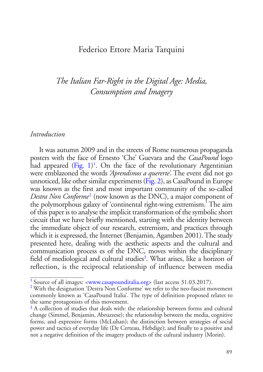## Federico Ettore Maria Tarquini

## *The Italian Far-Right in the Digital Age: Media, Consumption and Imagery*

## *Introduction*

<span id="page-0-7"></span><span id="page-0-6"></span><span id="page-0-4"></span><span id="page-0-3"></span>It was autumn 2009 and in the streets of Rome numerous propaganda posters with the face of Ernesto 'Che' Guevara and the *CasaPound* logo had appeared [\(Fig. 1](#page-1-0))<sup>[1](#page-0-0)</sup>. On the face of the revolutionary Argentinian were emblazoned the words *'Aprendimos a quererte'*. The event did not go unnoticed, like other similar experiments [\(Fig. 2\)](#page-1-1), as CasaPound in Europe was known as the first and most important community of the so-called *Destra Non Conforme*[2](#page-0-1) (now known as the DNC), a major component of the polymorphous galaxy of 'continental right-wing extremism.' The aim of this paper is to analyse the implicit transformation of the symbolic short circuit that we have briefly mentioned, starting with the identity between the immediate object of our research, extremism, and practices through which it is expressed, the Internet (Benjamin, Agamben 2001). The study presented here, dealing with the aesthetic aspects and the cultural and communication process es of the DNC, moves within the disciplinary field of mediological and cultural studies<sup>[3](#page-0-2)</sup>. What arises, like a horizon of reflection, is the reciprocal relationship of influence between media

<span id="page-0-1"></span>

<span id="page-0-5"></span><span id="page-0-0"></span><sup>&</sup>lt;sup>[1](#page-0-3)</sup> Source of all images:  $\langle$ [www.casapounditalia.org](http://www.casapounditalia.org)> (last access 31.03.[2](#page-0-4)017).<br><sup>2</sup> With the designation 'Destra Non Conforme' we refer to the neo-fascist movement commonly known as 'CasaPound Italia'. The type of definition proposed relates to the same protagonists of this movement.

<span id="page-0-2"></span><sup>&</sup>lt;sup>[3](#page-0-5)</sup> A collection of studies that deals with: the relationship between forms and cultural change (Simmel, Benjamin, Abruzzese); the relationship between the media, cognitive forms, and expressive forms (McLuhan); the distinction between strategies of social power and tactics of everyday life (De Certeau, Hebdige); and finally to a positive and not a negative definition of the imagery products of the cultural industry (Morin).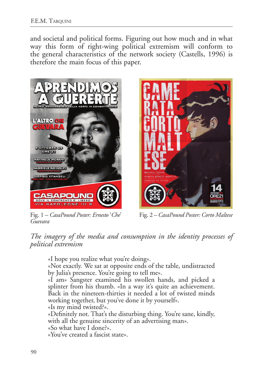and societal and political forms. Figuring out how much and in what way this form of right-wing political extremism will conform to the general characteristics of the network society (Castells, 1996) is therefore the main focus of this paper.

<span id="page-1-0"></span>

Fig. 1 *– [CasaPound Poster: Ernesto](#page-0-6)* '*Che*' *[Guevara](#page-0-6)*

<span id="page-1-1"></span>

Fig. 2 *– [CasaPound Poster: Corto Maltese](#page-0-7)*

*The imagery of the media and consumption in the identity processes of political extremism*

«I hope you realize what you're doing».

«Not exactly. We sat at opposite ends of the table, undistracted by Julia's presence. You're going to tell me».

«I am» Sangster examined his swollen hands, and picked a splinter from his thumb. «In a way it's quite an achievement. Back in the nineteen-thirties it needed a lot of twisted minds working together, but you've done it by yourself».

«Is my mind twisted?».

«Definitely not. That's the disturbing thing. You're sane, kindly, with all the genuine sincerity of an advertising man».

«So what have I done?».

«You've created a fascist state».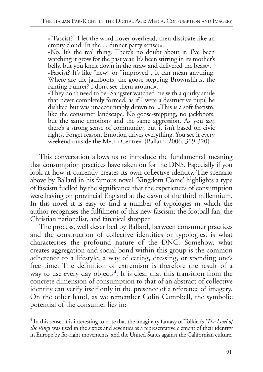«"Fascist?" I let the word hover overhead, then dissipate like an empty cloud. In the ... dinner party sense?».

«No. It's the real thing. There's no doubt about it. I've been watching it grow for the past year. It's been stirring in its mother's belly, but you knelt down in the straw and delivered the beast».

«Fascist? It's like "new" or "improved". It can mean anything. Where are the jackboots, the goose-stepping Brownshirts, the ranting Führer? I don't see them around».

«They don't need to be» Sangster watched me with a quirky smile that never completely formed, as if I were a destructive pupil he disliked but was unaccountably drawn to. «This is a soft fascism, like the consumer landscape. No goose-stepping, no jackboots, but the same emotions and the same aggression. As you say, there's a strong sense of community, but it isn't based on civic rights. Forget reason. Emotion drives everything. You see it every weekend outside the Metro-Centre». (Ballard, 2006: 319-320)

This conversation allows us to introduce the fundamental meaning that consumption practices have taken on for the DNS. Especially if you look at how it currently creates its own collective identity. The scenario above by Ballard in his famous novel 'Kingdom Come' highlights a type of fascism fuelled by the significance that the experiences of consumption were having on provincial England at the dawn of the third millennium. In this novel it is easy to find a number of typologies in which the author recognises the fulfilment of this new fascism: the football fan, the Christian nationalist, and fanatical shopper.

<span id="page-2-1"></span>The process, well described by Ballard, between consumer practices and the construction of collective identities or typologies, is what characterises the profound nature of the DNC. Somehow, what creates aggregation and social bond within this group is the common adherence to a lifestyle, a way of eating, dressing, or spending one's free time. The definition of extremism is therefore the result of a way to use every day objects<sup>[4](#page-2-0)</sup>. It is clear that this transition from the concrete dimension of consumption to that of an abstract of collective identity can verify itself only in the presence of a reference of imagery. On the other hand, as we remember Colin Campbell, the symbolic potential of the consumer lies in:

<span id="page-2-0"></span>[<sup>4</sup>](#page-2-1) In this sense, it is interesting to note that the imaginary fantasy of Tolkien's *'The Lord of the Rings'* was used in the sixties and seventies as a representative element of their identity in Europe by far-right movements, and the United States against the Californian culture.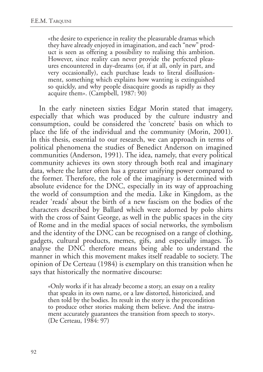«the desire to experience in reality the pleasurable dramas which they have already enjoyed in imagination, and each "new" prod-<br>uct is seen as offering a possibility to realising this ambition.<br>However, since reality can never provide the perfected pleasures encountered in day-dreams (or, if at all, only in part, and very occasionally), each purchase leads to literal disillusionment, something which explains how wanting is extinguished so quickly, and why people disacquire goods as rapidly as they acquire them». (Campbell, 1987: 90)

In the early nineteen sixties Edgar Morin stated that imagery, especially that which was produced by the culture industry and consumption, could be considered the 'concrete' basis on which to place the life of the individual and the community (Morin, 2001). In this thesis, essential to our research, we can approach in terms of political phenomena the studies of Benedict Anderson on imagined communities (Anderson, 1991). The idea, namely, that every political community achieves its own story through both real and imaginary data, where the latter often has a greater unifying power compared to the former. Therefore, the role of the imaginary is determined with absolute evidence for the DNC, especially in its way of approaching the world of consumption and the media. Like in Kingdom, as the reader 'reads' about the birth of a new fascism on the bodies of the characters described by Ballard which were adorned by polo shirts with the cross of Saint George, as well in the public spaces in the city of Rome and in the medial spaces of social networks, the symbolism and the identity of the DNC can be recognised on a range of clothing, gadgets, cultural products, memes, gifs, and especially images. To analyse the DNC therefore means being able to understand the manner in which this movement makes itself readable to society. The opinion of De Certeau (1984) is exemplary on this transition when he says that historically the normative discourse:

«Only works if it has already become a story, an essay on a reality that speaks in its own name, or a law distorted, historicized, and then told by the bodies. Its result in the story is the precondition to produce other stories making them believe. And the instru- ment accurately guarantees the transition from speech to story». (De Certeau, 1984: 97)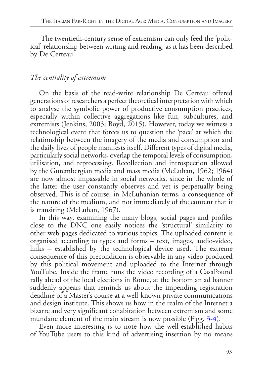The twentieth-century sense of extremism can only feed the 'political' relationship between writing and reading, as it has been described by De Certeau.

## *The centrality of extremism*

On the basis of the read-write relationship De Certeau offered generations of researchers a perfect theoretical interpretation with which to analyse the symbolic power of productive consumption practices, especially within collective aggregations like fun, subcultures, and extremists (Jenkins, 2003; Boyd, 2015). However, today we witness a technological event that forces us to question the 'pace' at which the relationship between the imagery of the media and consumption and the daily lives of people manifests itself. Different types of digital media, particularly social networks, overlap the temporal levels of consumption, utilisation, and reprocessing. Recollection and introspection allowed by the Gutembergian media and mass media (McLuhan, 1962; 1964) are now almost impassable in social networks, since in the whole of the latter the user constantly observes and yet is perpetually being observed. This is of course, in McLuhanian terms, a consequence of the nature of the medium, and not immediately of the content that it is transiting (McLuhan, 1967).

In this way, examining the many blogs, social pages and profiles close to the DNC one easily notices the 'structural' similarity to other web pages dedicated to various topics. The uploaded content is organised according to types and forms *–* text, images, audio-video, links *–* established by the technological device used. The extreme consequence of this precondition is observable in any video produced by this political movement and uploaded to the Internet through YouTube. Inside the frame runs the video recording of a CasaPound rally ahead of the local elections in Rome, at the bottom an ad banner suddenly appears that reminds us about the impending registration deadline of a Master's course at a well-known private communications and design institute. This shows us how in the realm of the Internet a bizarre and very significant cohabitation between extremism and some mundane element of the main stream is now possible (Figg. [3-](#page-5-0)[4\)](#page-5-1).

<span id="page-4-1"></span><span id="page-4-0"></span>Even more interesting is to note how the well-established habits of YouTube users to this kind of advertising insertion by no means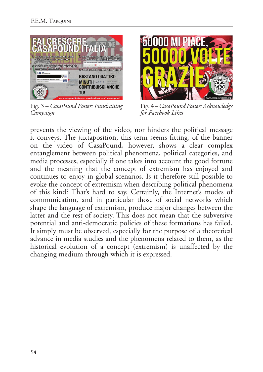<span id="page-5-0"></span>

Fig. 3 *– [CasaPound Poster: Fundraising](#page-4-0) [Campaign](#page-4-0)*

<span id="page-5-1"></span>

Fig. 4 *– [CasaPound Poster: Acknowledge](#page-4-1) [for Facebook Likes](#page-4-1)*

prevents the viewing of the video, nor hinders the political message it conveys. The juxtaposition, this term seems fitting, of the banner on the video of CasaPound, however, shows a clear complex entanglement between political phenomena, political categories, and media processes, especially if one takes into account the good fortune and the meaning that the concept of extremism has enjoyed and continues to enjoy in global scenarios. Is it therefore still possible to evoke the concept of extremism when describing political phenomena of this kind? That's hard to say. Certainly, the Internet's modes of communication, and in particular those of social networks which shape the language of extremism, produce major changes between the latter and the rest of society. This does not mean that the subversive potential and anti-democratic policies of these formations has failed. It simply must be observed, especially for the purpose of a theoretical advance in media studies and the phenomena related to them, as the historical evolution of a concept (extremism) is unaffected by the changing medium through which it is expressed.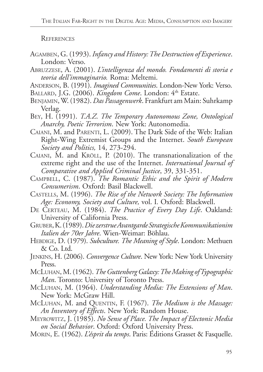**REFERENCES** 

- Agamben, G. (1993). *Infancy and History: The Destruction of Experience*. London: Verso.
- Abruzzese, A. (2001). *L'intelligenza del mondo. Fondamenti di storia e teoria dell'immaginario.* Roma: Meltemi.
- Anderson, B. (1991). *Imagined Communities*. London-New York: Verso.
- BALLARD, J.G. (2006). *Kingdom Come*. London: 4<sup>th</sup> Estate.
- Benjamin, W. (1982). *Das Passagenwerk*. Frankfurt am Main: Suhrkamp Verlag.
- Bey, H. (1991). *T.A.Z. The Temporary Autonomous Zone, Ontological Anarchy, Poetic Terrorism*. New York: Autonomedia.
- CAIANI, M. and PARENTI, L. (2009). The Dark Side of the Web: Italian Right-Wing Extremist Groups and the Internet. *South European Society and Politics,* 14, 273-294.
- Caiani, M. and Kröll, P. (2010). The transnationalization of the extreme right and the use of the Internet. *International Journal of Comparative and Applied Criminal Justice*, 39, 331-351.
- Campbell, C. (1987). *The Romantic Ethic and the Spirit of Modern Consumerism*. Oxford: Basil Blackwell.
- Castells, M. (1996). *The Rise of the Network Society: The Information Age: Economy, Society and Culture,* vol. I*.* Oxford: Blackwell.
- De Certeau, M. (1984). *The Practice of Every Day Life*. Oakland: University of California Press.
- Gruber, K. (1989). *Die zerstrue Avantgarde Strategische Kommunikationim Italien der 70er Jahre*. Wien-Weimar: Böhlau.
- Hebdige, D. (1979). *Subculture. The Meaning of Style*. London: Methuen & Co. Ltd.
- Jenkins, H. (2006). *Convergence Culture*. New York: New York University Press.
- McLuhan, M. (1962). *The Guttenberg Galaxy: The Making of Typographic Man*. Toronto: University of Toronto Press.
- McLuhan, M. (1964). *Understanding Media: The Extensions of Man*. New York: McGraw Hill.
- McLuhan, M. and Quentin, F. (1967). *The Medium is the Massage: An Inventory of Effects*. New York: Random House.
- Meyrowitz, J. (1985). *No Sense of Place. The Impact of Electonic Media on Social Behavior*. Oxford: Oxford University Press.
- Morin, E. (1962). *L'ésprit du temps*. Paris: Éditions Grasset & Fasquelle.